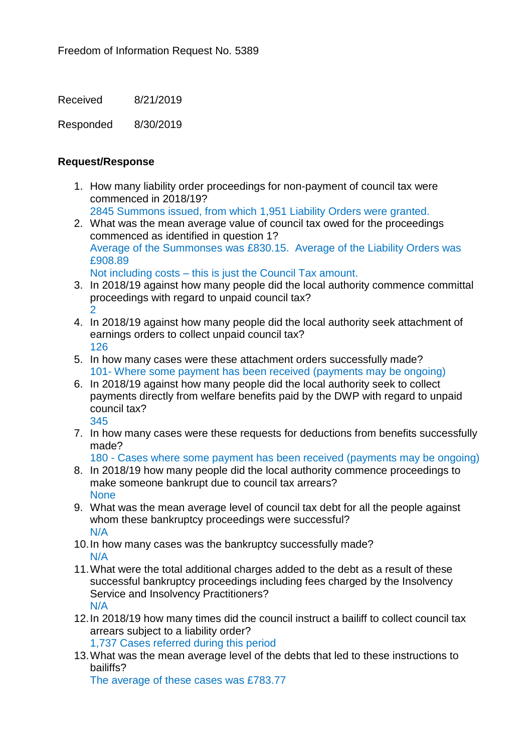Received 8/21/2019

Responded 8/30/2019

## **Request/Response**

- 1. How many liability order proceedings for non-payment of council tax were commenced in 2018/19?
	- 2845 Summons issued, from which 1,951 Liability Orders were granted.
- 2. What was the mean average value of council tax owed for the proceedings commenced as identified in question 1? Average of the Summonses was £830.15. Average of the Liability Orders was £908.89
	- Not including costs this is just the Council Tax amount.
- 3. In 2018/19 against how many people did the local authority commence committal proceedings with regard to unpaid council tax?  $\overline{2}$
- 4. In 2018/19 against how many people did the local authority seek attachment of earnings orders to collect unpaid council tax? 126
- 5. In how many cases were these attachment orders successfully made? 101- Where some payment has been received (payments may be ongoing)
- 6. In 2018/19 against how many people did the local authority seek to collect payments directly from welfare benefits paid by the DWP with regard to unpaid council tax? 345
- 7. In how many cases were these requests for deductions from benefits successfully made?
	- 180 Cases where some payment has been received (payments may be ongoing)
- 8. In 2018/19 how many people did the local authority commence proceedings to make someone bankrupt due to council tax arrears? None
- 9. What was the mean average level of council tax debt for all the people against whom these bankruptcy proceedings were successful? N/A
- 10.In how many cases was the bankruptcy successfully made? N/A
- 11.What were the total additional charges added to the debt as a result of these successful bankruptcy proceedings including fees charged by the Insolvency Service and Insolvency Practitioners? N/A
- 12.In 2018/19 how many times did the council instruct a bailiff to collect council tax arrears subject to a liability order?

1,737 Cases referred during this period

13.What was the mean average level of the debts that led to these instructions to bailiffs?

The average of these cases was £783.77